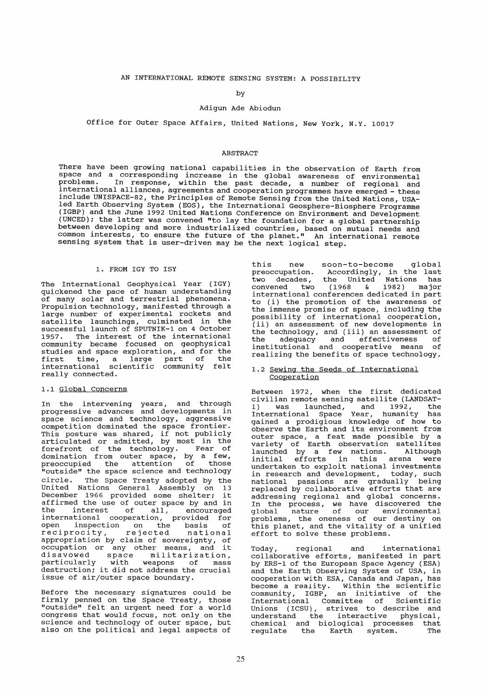### by

### Adigun Ade Abiodun

Office for Outer Space Affairs, united Nations, New York, N.Y. 10017

#### ABSTRACT

There have been growing national capabilities in the observation of Earth from space and a corresponding increase in the global awareness of environmental problems. In response, within the past decade, a number of regional and international alliances, agreements and cooperation programmes have emerged - these include UNISPACE-82, the Principles of Remote Sensing from the united Nations, USAled Earth Observing System (EOS), the International Geosphere-Biosphere Programme (IGBP) and the June 1992 United Nations Conference on Environment and Development (UNCED); the latter was convened "to lay the foundation for a global partnership between developing and more industrialized countries, based on mutual needs and common interests, to ensure the future of the planet." An international remote sensing system that is user-driven may be the next logical step.

### 1. FROM IGY TO ISY

The International Geophysical Year (IGY) quickened the pace of human understanding of many solar and terrestrial phenomena. Propulsion technology, manifested through a large number of experimental rockets and satellite launchings, culminated in the successful launch of SPUTNIK-1 on 4 October 1957. The interest of the international community became focused on geophysical studies and space exploration, and for the studies and space exproduction, and for the<br>first time, a large part of the international scientific community felt really connected.

#### 1.1 Global Concerns

In the intervening years, and through progressive advances and developments in space science and technology, aggressl ve competition dominated the space frontier. This posture was shared, if not publicly articulated or admitted, by most in the forefront of the technology. Fear of domination from outer space, by a few, preoccupied the attention of those "outside" the space science and technology circle. The Space Treaty adopted by the United Nations General Assembly on 13 united Nations General Assembly on 13<br>December 1966 provided some shelter; it<br>affirmed the use of outer space by and in arrithmed the dise of outer space by and in<br>the interest of all, encouraged international cooperation, provided for open inspection on the basis of reciprocity, rejected national appropriation by claim of sovereignty, of occupation or any other means, and it<br>disavowed space militarization, space militarization, and the space and milled tradition,<br>particularly with weapons of mass<br>destruction; it did not address the crucial issue of air/outer space boundary.

Before the necessary signatures could be firmly penned on the Space Treaty, those "outside" feIt an urgent need for a world congress that would focus, not only on the science and technology of outer space, but also on the political and legal aspects of

this new soon-to-become global preoccupation. Accordingly, in the last two decades, the United Nations has convened two (1968 & 1982) major convened two (1968 & 1982) major<br>international conferences dedicated in part to (i) the promotion of the awareness of the immense promise of space, including the possibility of international cooperation, (ii) an assessment of new developments in the technology, and (iii) an assessment of the adequacy and effectiveness of institutional and cooperative means of realizing the benefits of space technology.

### 1.2 Sewing the Seeds of International **Cooperation**

Between 1972, when the first dedicated civilian remote sensing satellite (LANDSAT-<br>1) was launched and 1992, the 1) was launched, and 1992, the International Space Year, humanity has International Space Year, humanity has<br>gained a prodigious knowledge of how to observe the Earth and its environment from<br>outer space, a feat made possible by a outer space, a feat made possible by a variety of Earth observation satellites launched by a few nations. Although<br>
initial efforts in this arena were<br>
undertaken to exploit national investments undertaken to exploit national investments<br>in research and development, today, such<br>national passions are gradually being national passions are gradually being<br>replaced by collaborative efforts that are replaced by collaborative efforts that are addressing regional and global concerns. In the process, we have discovered the global nature of our environmental problems, the oneness of our destiny on this planet, and the vitality of a unified this planet, and the vitality of a unified<br>effort to solve these problems.

Today, regional and international collaborative efforts, manifested in part by ERS-1 of the European Space Agency (ESA) and the Earth Observing System of USA, in cooperation with ESA, Canada and Japan, has become a reality. within the scientific community, IGBP, an initiative of the International Committee of scientific Unions (ICSU), strives to describe and understand the interactive physical, chemical and biological processes that<br>regulate the Earth system. The regulate the Earth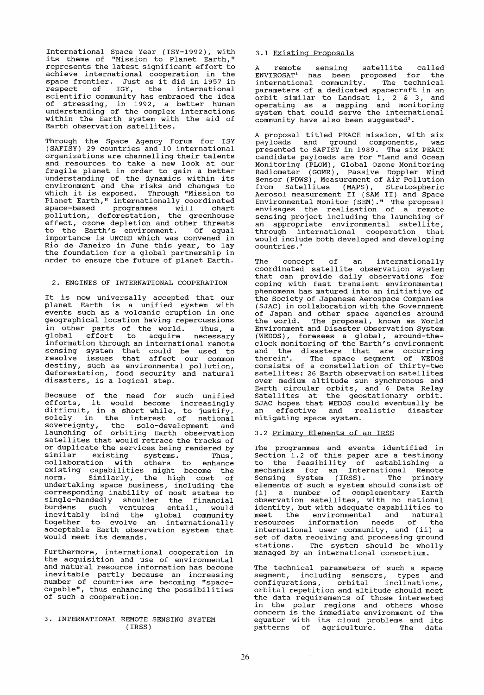International Space Year (ISY-1992), with its theme of "Mission to Planet Earth," represents the latest significant effort to achieve international cooperation in the space frontier. Just as it did in 1957 in respect of IGY, the international scientific community has embraced the idea of stressing, in 1992, a better human understanding of the complex interactions within the Earth system with the aid of Earth observation satellites.

Through the Space Agency Forum for ISY (SAFISY) 29 countries and 10 international organizations are channelling their talents and resources to take a new look at our<br>fragile planet in order to gain a better<br>understanding of the dynamics within its environment and the risks and changes to which it is exposed. Through "Mission to Planet Earth," internationally coordinated<br>space-based programmes will chart space-based programmes will chart pollution, deforestation, the greenhouse effect, ozone depletion and other threats to the Earth's environment. Of equal importance is UNCED which was convened in Rio de Janeiro in June this year, to lay the foundation for a global partnership in order to ensure the future of planet Earth.

## 2. ENGINES OF INTERNATIONAL COOPERATION

It is now universally accepted that our planet Earth is a unified system with events such as a volcanic eruption in one geographical location having repercussions<br>in other parts of the world. Thus, a in other parts of the world. Thus, a global effort to acquire necessary information through an international remote sensing system that could be used to resolve issues that affect our common destiny, such as environmental pollution, deforestation, food security and natural<br>disasters, is a logical step.

Because of the need for such unified<br>efforts, it would become increasingly difficult, in a short while, to justify, solely in the interest of national sovereignty, the solo-development and launching of orbiting Earth observation satellites that would retrace the tracks of or duplicate the services being rendered by similar existing systems. Thus, collaboration with others to enhance existing capabilities might become the<br>norm. Similarly, the high cost of undertaking space business, including the corresponding inability of most states to single-handedly shoulder the financial burdens such ventures entail, would inevitably bind the global community together to evolve an internationally acceptable Earth observation system that would meet its demands.

Furthermore, international cooperation in the acquisition and use of environmental and natural resource information has become inevitable partly because an increasing number of countries are becoming "space-capable", thus enhancing the possibilities of such a cooperation.

### 3. INTERNATIONAL REMOTE SENSING SYSTEM (IRSS)

### 3.1 Existing Proposals

A remote sensing satellite called ENVIROSAT<sup>1</sup> has been proposed for the International community. The technical parameters of a dedicated spacecraft in an orbit similar to Landsat 1, 2 & 3, and operating as a mapping and monitoring system that could serve the international community have also been suggested<sup>2</sup>.

A proposal titled PEACE mission, with six<br>payloads and ground components, was presented to SAFISY in 1989. The six PEACE candidate payloads are for "Land and Ocean Monitoring (PLOM), Global Ozone Monitoring Radiometer (GOMR) , Passive Doppler Wind Sensor (PDWS), Measurement of Air Pollution from Satellites (MAPS) , Stratospheric Aerosol measurement II (SAM II) and Space Environmental Monitor (SEM)." The proposal envisages the realisation of a remote sensing project including the launching of an appropriate environmental satellite, an appropriate environmental satellite,<br>through international cooperation that would include both developed and developing countries.<sup>3</sup>

The concept of an internationally coordinated satellite observation system that can provide daily observations for coping with fast transient environmental phenomena has matured into an initiative of the society of Japanese Aerospace Companies (SJAC) in collaboration with the Government of Japan and other space agencies around the world. The proposal, known as World Environment and Disaster Observation System (WEDOS), foresees aglobaI, around-theclock monitoring of the Earth's environment and the disasters that are occurring therein<sup>4</sup>. The space segment of WEDOS consists of a constellation of thirty-two over medium altitude sun synchronous and over medium afficude sun synchronous and<br>Earth circular orbits, and 6 Data Relay Satellites at the geostationary orbit. SJAC hopes that WEDOS could eventually be<br>an effective and realistic disaster mitigating space system.

### 3.2 primary Elements of an IRSS

The programmes and events identified in Section 1.2 of this paper are a testimony to the feasibility of establishing a mechanism for an International Remote Sensing System (IRSS). The primary elements of such a system should consist of (i) a number of complementary Earth observation satellites, with no national identity, but with adequate capabilities to meet the environmental and natural resources information needs of the international user community, and (ii) a set of data receiving and processing ground stations. The system should be wholly managed by an international consortium.

The technical parameters of such a space segment, including sensors, types and configurations, orbital inclinations, orbital repetition and altitude should meet the data requirements of those interested in the polar regions and others whose concern is the immediate environment of the equator with its cloud problems and its patterns of agriculture. The data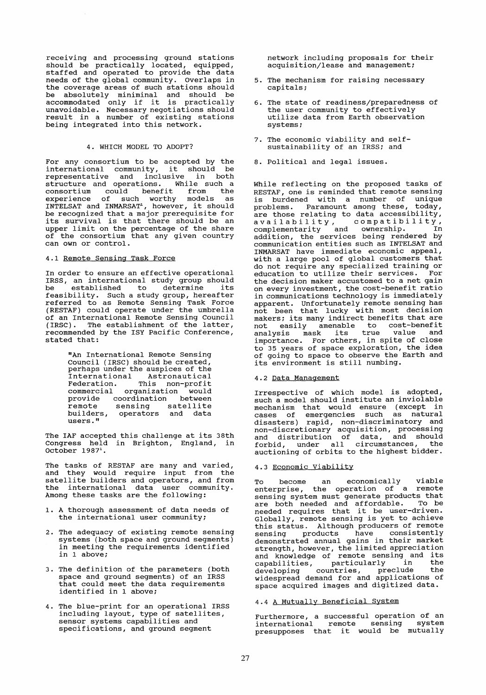receiving and processing ground stations should be practically located, equipped, staffed and operated to provide the data needs of the global community. Overlaps in the coverage areas of such stations should be absolutely miniminal and should be accommodated only if it is practically unavoidable. Necessary negotiations should marcreasers increaser ingressers in the set being integrated into this network.

### 4. WHICH MODEL TO ADOPT?

For any consortium to be accepted by the international community, it should be representative and inclusive in both structure and operations. While such a consortium could benefit from the experience of such worthy models as<br>INTELSAT and INMARSAT<sup>1</sup>, however, it should be recognized that a major prerequisite for its survival is that there should be an upper limit on the percentage of the share of the consortium that any given country can own or control.

### 4.1 Remote Sensing Task Force

In order to ensure an effective operational IRSS, an international study group should<br>be established to determine its established to determine its feasibility. Such a study group, hereafter referred to as Remote Sensing Task Force (RESTAF) could operate under the umbrella of an International Remote Sensing Council (IRSC). The establishment of the latter, recommended by the ISY Pacific Conference, stated that:

> "An International Remote Sensing Council (IRSC) should be created, perhaps under the auspices of the International Astronautical Federation. This non-profit commercial organization would<br>provide coordination between provide coordination between provide coordination between<br>remote sensing satellite builders, operators and data builders,<br>users."

The IAF accepted this challenge at its 38th Congress held in Brighton, England, in  $October 1987<sup>1</sup>$ .

The tasks of RESTAF are many and varied, and they would require input from the satellite builders and operators, and from the international data user community. Among these tasks are the following:

- **1.** A thorough assessment of data needs of the international user community;
- 2. The adequacy of existing remote sensing systems (both space and ground segments) in meeting the requirements identified in 1 above;
- 3. The definition of the parameters (both space and ground segments) of an IRSS that could meet the data requirements identified in 1 above;
- 4. The blue-print for an operational IRSS including layout, type of satellites, sensor systems capabilities and specifications, and ground segment

network including proposals for their acquisition/lease and management;

- 5. The mechanism for raising necessary capitals;
- 6. The state of readiness/preparedness of the user community to effectively utilize data from Earth observation systems;
- 7. The economic viability and selfsustainability of an IRSS; and
- 8. Political and legal issues.

While reflecting on the proposed tasks of RESTAF, one is reminded that remote sensing is burdened with a number of unique problems. Paramount among these, today, are those relating to data accessibility, are those relating to data accessibility,<br>availability, compatibility,<br>complementarity and ownership. In<br>addition, the services being rendered by communication entities such as INTELSAT and INMARSAT have immediate economic appeal, with a large pool of global customers that do not require any specialized training or education to utilize their services. For on every investment, the cost-benefit ratio in communications technology is immediately apparent. Unfortunately remote sensing has not been that lucky with most decision makers; its many indirect benefits that are not easily amenable to cost-benefit analysis mask its true value and importance. For others, in spite of close to 35 years of space exploration, the idea of going to space to observe the Earth and its environment is still numbing.

# 4.2 Data Management

Irrespective of which model is adopted, such a model should institute an inviolable mechanism that would ensure (except in cases of emergencies such as natural disasters) rapid, non-discriminatory and ansascers, rapid, non discrementers, mandated and distribution of data, and should forbid, under all circumstances, the auctioning of orbits to the highest bidder.

## 4.3 Economic Viability

To become an economically viable enterprise, the operation of a remote sensing system must generate products that are both needed and affordable. To be are both needed and arrordable. To be<br>needed requires that it be user-driven. Globally, remote sensing is yet to achieve this status. Although producers of remote sensing products have consistently demonstrated annual gains in their market strength however, the limited appreciation and know'ledge of remote sensing and i ts capabilities, particularly in the developing countries, preclude the widespread demand for and applications of space acquired images and digitized data.

# 4.4 A Mutually Beneficial System

Furthermore, a successful operation of an international remote sensing system presupposes that it would be mutually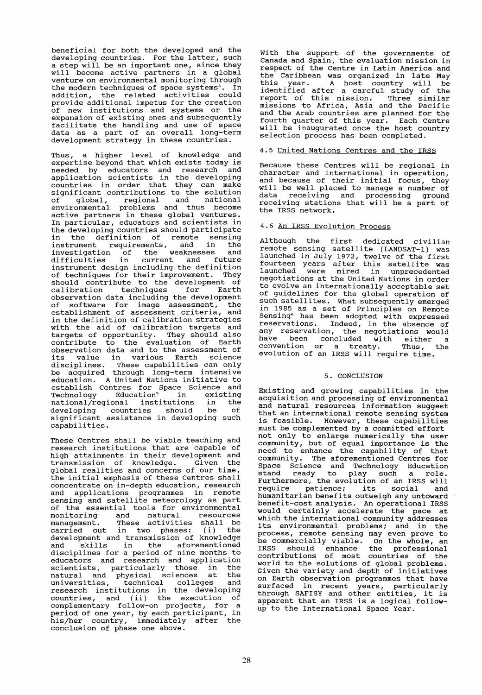beneficial for both the developed and the developing countries. For the latter, such a step will be an important one, since they will become active partners in a global venture on environmental monitoring through the modern techniques of space systems<sup>3</sup>. In addition the related activities could provide additional impetus for the creation of new institutions and systems or the expansion of existing ones and subsequently facilitate the handling and use of space racilitate the nangling and use or space<br>data as a part of an overall long-term development strategy in these countries.

Thus, a higher level of knowledge and expertise beyond that which exists today is needed by educators and research and<br>application scientists in the developing countries in order that they can make significant contributions to the solution of global, regional and national environmental problems and thus become active partners in these global ventures. In particular, educators and scientists in the developing countries should participate in the definition of remote sensing instrument requirements, and in the investigation of the weaknesses and difficulties in current and future difficulties in current and future<br>instrument-design-including-the-definition of techniques for their improvement. They should contribute to the development of<br>calibration techniques for Earth techniques for observation data including the development of software for image assessment, the<br>establishment of assessment criteria and establishment of assessment criteria, in the definition of calibration strategies with the aid of calibration targets and targets of opportunity. They should also contribute to the evaluation of Earth observation data and to the assessment of observation data and to the assessment of<br>its value in various Earth science disciplines. These capabilities can only disciplines. These capabilities can only<br>be acquired through long-term intensive education. A united Nations initiative to establish Centres for Space Science and Technology Education<sup>5</sup> in existing national/regional institutions in the developing countries should be of significant assistance in developlng such capabilities.

These Centres shall be viable teaching and research institutions that are capable of researen inscreasions enac are expanse or transmission of knowledge. Glven the global realities and concerns of our time, the initial emphasis of these Centres shall concentrate on in-depth education, research and applications programmes in remote sensing and satellite meteorology as part of the essential tools for environmental monitoring and natural resources<br>management. These activities shall be<br>carried out in two phases: (i) the carried out in two phases: development and transmission of knowledge deveropment and cransmission of knowledge disciplines for aperiod of nine months to educators and research and application scientists, particularly those in the scientists, particularly those in the<br>natural and physical sciences at the natural and physical services are ensured aniversities, committed correspondent countries, and (ii) the execution of complementary follow-on projects, for a period of one year, by each participant, in perfou of one year, by each partformance, in<br>his/her country, immediately after the conclusion of phase one above.

With the support of the governments of Canada and Spain, the evaluation mission in respect of the Centre in Latin America and the Caribbean was organized in late May this year. A host country will be identified after a careful study of the report of this mission. Three similar missions to Africa, Asia and the Pacific and the Arab countries are planned for the fourth quarter of this year. Each Centre will be inaugurated once the host country selection process has been completed.

## 4.5 United Nations Centres and the IRSS

Because these Centres will be regional in character and international in operation, and because of their initial focus, they will be weIl placed to manage a number of data receiving and processing ground<br>receiving stations that will be a part of the IRSS network.

### 4.6 An IRSS Evolution Process

Although the first dedicated civilian<br>remote sensing satellite (LANDSAT-1) was remote sensing satellite (LANDSAT-1) was launched in July 1972, twelve of the first Familied in Sary 1972, ewere of the first<br>fourteen years after this satellite was<br>launched were mired in unprecedented launched were mired in unprecedented<br>negotiations at the United Nations in order to evolve an internationally acceptable set of guidelines for the global operation of Si garacrines for the grobal operation of<br>such satellites. What subsequently emerged in 1985 as a set of Principles on Remote Sensing<sup>6</sup> has been adopted with expressed reservations. Indeed, in the absence of any reservation, the negotiations would have been concluded with either a<br>convention or a treaty. Thus, the evolution of an IRSS will require time.

## 5. CONCLUSION

Existing and growing capabilities in the acquisition and processing of environmental and natural resources information suggest that an international remote sensing system is feasible. However, these capabilities must be complemented by a committed effort not only to enlarge numerically the user<br>community, but of equal importance is the need to enhance the capability of that community. The aforementioned Centres for Space Science and Technology Education stand ready to play such a role. Furthermore, the evolution of an IRSS will require patience; its social and humanitarian benefits outweigh any untoward benefit-cost analysis. An operational IRSS would certainly accelerate the pace at which the international community addresses its environmental problems; and in the process, remote sensing may even prove to<br>be commercially viable. On the whole, an be commercially viable. On the whole, an<br>IRSS should enhance the professional contributions of most countries of the world to the solutions of global problems.<br>Given the variety and depth of initiatives Given the variety and depth of initiatives on Earth observation programmes that have surfaced in recent years, particularly through SAFISY and other entities, it is apparent that an IRSS is a logical followup to the International Space Year.